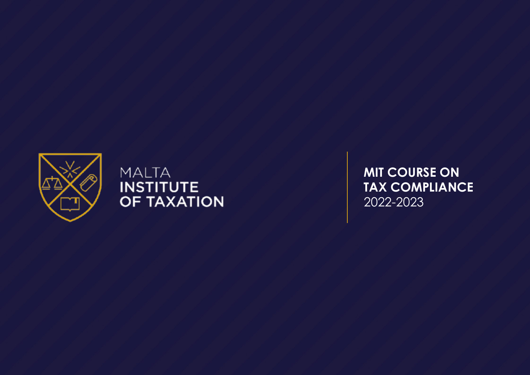

**MALTA INSTITUTE** OF TAXATION **MIT COURSE ON** TAX COMPLIANCE 2022-2023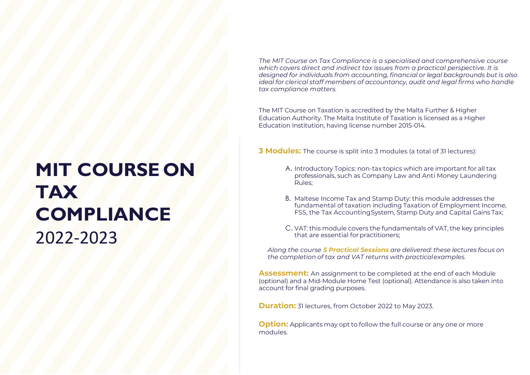The MIT Course on Tax Compliance is a specialised and comprehensive course which covers direct and indirect tax issues from a practical perspective. It is designed for individuals from accounting, financial or legal backgrounds but is also ideal for clerical staff members of accountancy, audit and legal firms who handle tax compliance matters.

The MIT Course on Taxation is accredited by the Malta Further & Higher Education Authority. The Malta Institute of Taxation is licensed as a Higher Education Institution, having license number 2015-014.

**3 Modules:** The course is split into 3 modules (a total of 31 lectures):

- A. Introductory Topics: non-tax topics which are important for all tax professionals, such as Company Law and Anti Money Laundering Rules;
- B. Maltese Income Tax and Stamp Duty: this module addresses the fundamental of taxation including Taxation of Employment Income, FSS, the Tax Accounting System, Stamp Duty and Capital Gains Tax;
- C. VAT: this module covers the fundamentals of VAT, the key principles that are essential for practitioners;

Along the course **5 Practical Sessions** are delivered: these lectures focus on the completion of tax and VAT returns with practical examples.

Assessment: An assignment to be completed at the end of each Module (optional) and a Mid-Module Home Test (optional). Attendance is also taken into account for final grading purposes.

**Duration:** 31 lectures, from October 2022 to May 2023.

**Option:** Applicants may opt to follow the full course or any one or more modules.

# **MIT COURSE ON** TAX **COMPLIANCE** 2022-2023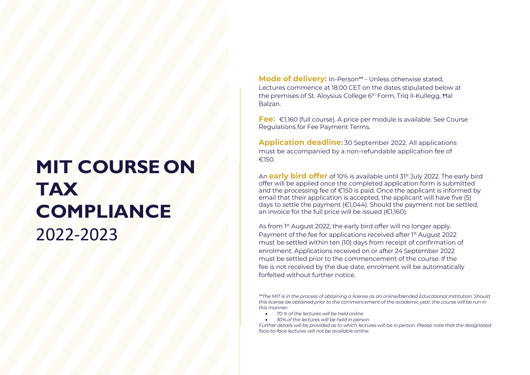## **MIT COURSE ON** TAX **COMPLIANCE** 2022-2023

Mode of delivery: In-Person\*\* - Unless otherwise stated, Lectures commence at 18.00 CET on the dates stipulated below at the premises of St. Aloysius College 6<sup>th</sup> Form, Triq il-Kullegg, Hal Balzan.

Fee: €1,160 (full course). A price per module is available. See Course Regulations for Fee Payment Terms.

Application deadline: 30 September 2022. All applications must be accompanied by a non-refundable application fee of €150.

An **early bird offer** of 10% is available until 31<sup>st</sup> July 2022. The early bird offer will be applied once the completed application form is submitted and the processing fee of €150 is paid. Once the applicant is informed by email that their application is accepted, the applicant will have five (5) days to settle the payment (€1,044). Should the payment not be settled, an invoice for the full price will be issued (€1,160).

As from 1<sup>st</sup> August 2022, the early bird offer will no longer apply. Payment of the fee for applications received after 1st August 2022 must be settled within ten (10) days from receipt of confirmation of enrolment. Applications received on or after 24 September 2022 must be settled prior to the commencement of the course. If the fee is not received by the due date, enrolment will be automatically forfeited without further notice.

\*\*The MIT is in the process of obtaining a license as an online/blended Educational Institution. Should this license be obtained prior to the commencement of the academic year, the course will be run in this manner:

- 70 % of the lectures will be held online
- 30% of the lectures will be held in person

Further details will be provided as to which lectures will be in person. Please note that the designated face-to-face lectures will not be available online.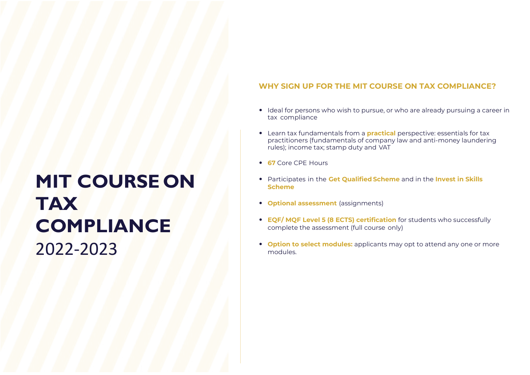## **MIT COURSE ON TAX COMPLIANCE** 2022-2023

#### WHY SIGN UP FOR THE MIT COURSE ON TAX COMPLIANCE?

- Ideal for persons who wish to pursue, or who are already pursuing a career in tax compliance
- Learn tax fundamentals from a **practical** perspective: essentials for tax practitioners (fundamentals of company law and anti-money laundering rules); income tax; stamp duty and VAT
- 67 Core CPE Hours
- Participates in the Get Qualified Scheme and in the Invest in Skills Scheme
- Optional assessment (assignments)
- EQF/ MQF Level 5 (8 ECTS) certification for students who successfully complete the assessment (full course only)
- Option to select modules: applicants may opt to attend any one or more modules.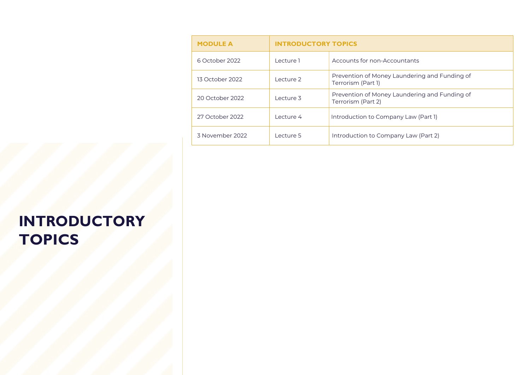| <b>MODULE A</b> | <b>INTRODUCTORY TOPICS</b> |                                                                     |
|-----------------|----------------------------|---------------------------------------------------------------------|
| 6 October 2022  | Lecture 1                  | Accounts for non-Accountants                                        |
| 13 October 2022 | Lecture 2                  | Prevention of Money Laundering and Funding of<br>Terrorism (Part 1) |
| 20 October 2022 | Lecture 3                  | Prevention of Money Laundering and Funding of<br>Terrorism (Part 2) |
| 27 October 2022 | Lecture 4                  | Introduction to Company Law (Part 1)                                |
| 3 November 2022 | Lecture 5                  | Introduction to Company Law (Part 2)                                |

## INTRODUCTORY **TOPICS**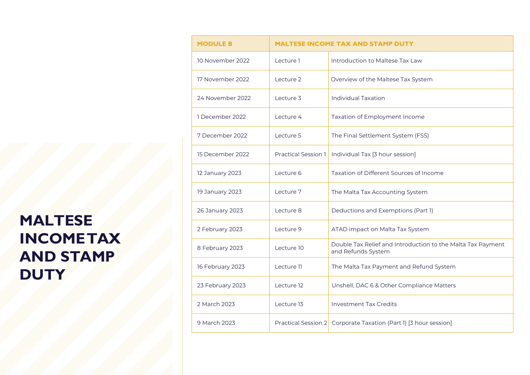## MALTESE INCOME TAX AND STAMP **DUTY**

| <b>MODULE B</b>  | <b>MALTESE INCOME TAX AND STAMP DUTY</b> |                                                                                   |
|------------------|------------------------------------------|-----------------------------------------------------------------------------------|
| 10 November 2022 | Lecture 1                                | Introduction to Maltese Tax Law                                                   |
| 17 November 2022 | Lecture 2                                | Overview of the Maltese Tax System                                                |
| 24 November 2022 | Lecture 3                                | <b>Individual Taxation</b>                                                        |
| 1 December 2022  | Lecture 4                                | Taxation of Employment Income                                                     |
| 7 December 2022  | Lecture 5                                | The Final Settlement System (FSS)                                                 |
| 15 December 2022 | <b>Practical Session 1</b>               | Individual Tax [3 hour session]                                                   |
| 12 January 2023  | Lecture 6                                | Taxation of Different Sources of Income                                           |
| 19 January 2023  | Lecture 7                                | The Malta Tax Accounting System                                                   |
| 26 January 2023  | Lecture 8                                | Deductions and Exemptions (Part 1)                                                |
| 2 February 2023  | Lecture 9                                | ATAD impact on Malta Tax System                                                   |
| 8 February 2023  | Lecture 10                               | Double Tax Relief and Introduction to the Malta Tax Payment<br>and Refunds System |
| 16 February 2023 | Lecture 11                               | The Malta Tax Payment and Refund System                                           |
| 23 February 2023 | Lecture 12                               | Unshell, DAC 6 & Other Compliance Matters                                         |
| 2 March 2023     | Lecture 13                               | <b>Investment Tax Credits</b>                                                     |
| 9 March 2023     | <b>Practical Session 2</b>               | Corporate Taxation (Part 1) [3 hour session]                                      |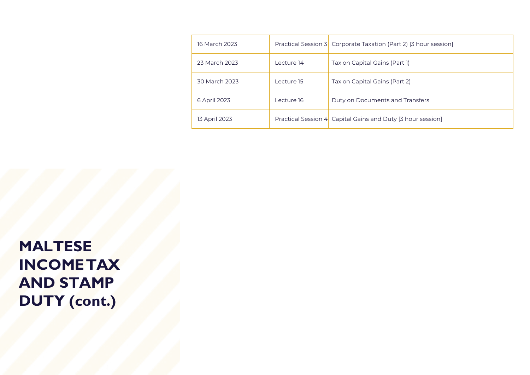| 16 March 2023 |            | Practical Session 3 Corporate Taxation (Part 2) [3 hour session] |
|---------------|------------|------------------------------------------------------------------|
| 23 March 2023 | Lecture 14 | Tax on Capital Gains (Part 1)                                    |
| 30 March 2023 | Lecture 15 | Tax on Capital Gains (Part 2)                                    |
| 6 April 2023  | Lecture 16 | Duty on Documents and Transfers                                  |
| 13 April 2023 |            | Practical Session 4 Capital Gains and Duty [3 hour session]      |

MALTESE INCOME TAX AND STAMP DUTY (cont.)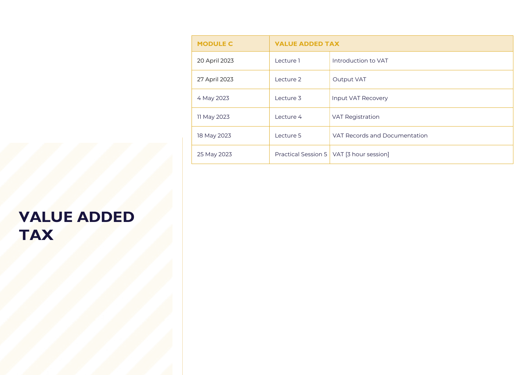| <b>MODULE C</b> | <b>VALUE ADDED TAX</b> |                                            |
|-----------------|------------------------|--------------------------------------------|
| 20 April 2023   | Lecture 1              | Introduction to VAT                        |
| 27 April 2023   | Lecture 2              | <b>Output VAT</b>                          |
| 4 May 2023      | Lecture 3              | Input VAT Recovery                         |
| 11 May 2023     | Lecture 4              | <b>VAT Registration</b>                    |
| 18 May 2023     | Lecture 5              | VAT Records and Documentation              |
| 25 May 2023     |                        | Practical Session 5   VAT [3 hour session] |

#### VALUE ADDED TAX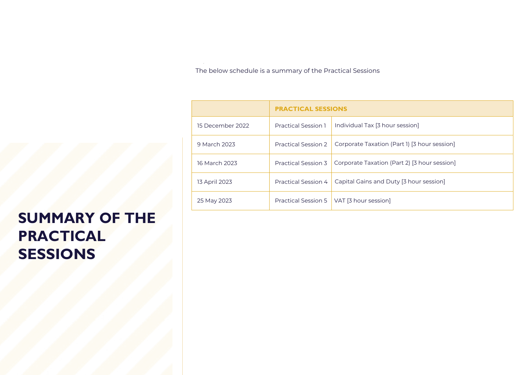The below schedule is a summary of the Practical Sessions

|                  | <b>PRACTICAL SESSIONS</b>  |                                              |
|------------------|----------------------------|----------------------------------------------|
| 15 December 2022 | <b>Practical Session 1</b> | Individual Tax [3 hour session]              |
| 9 March 2023     | <b>Practical Session 2</b> | Corporate Taxation (Part 1) [3 hour session] |
| 16 March 2023    | Practical Session 3        | Corporate Taxation (Part 2) [3 hour session] |
| 13 April 2023    | Practical Session 4        | Capital Gains and Duty [3 hour session]      |
| 25 May 2023      | <b>Practical Session 5</b> | VAT [3 hour session]                         |

#### SUMMARY OF THE PRACTICAL SESSIONS